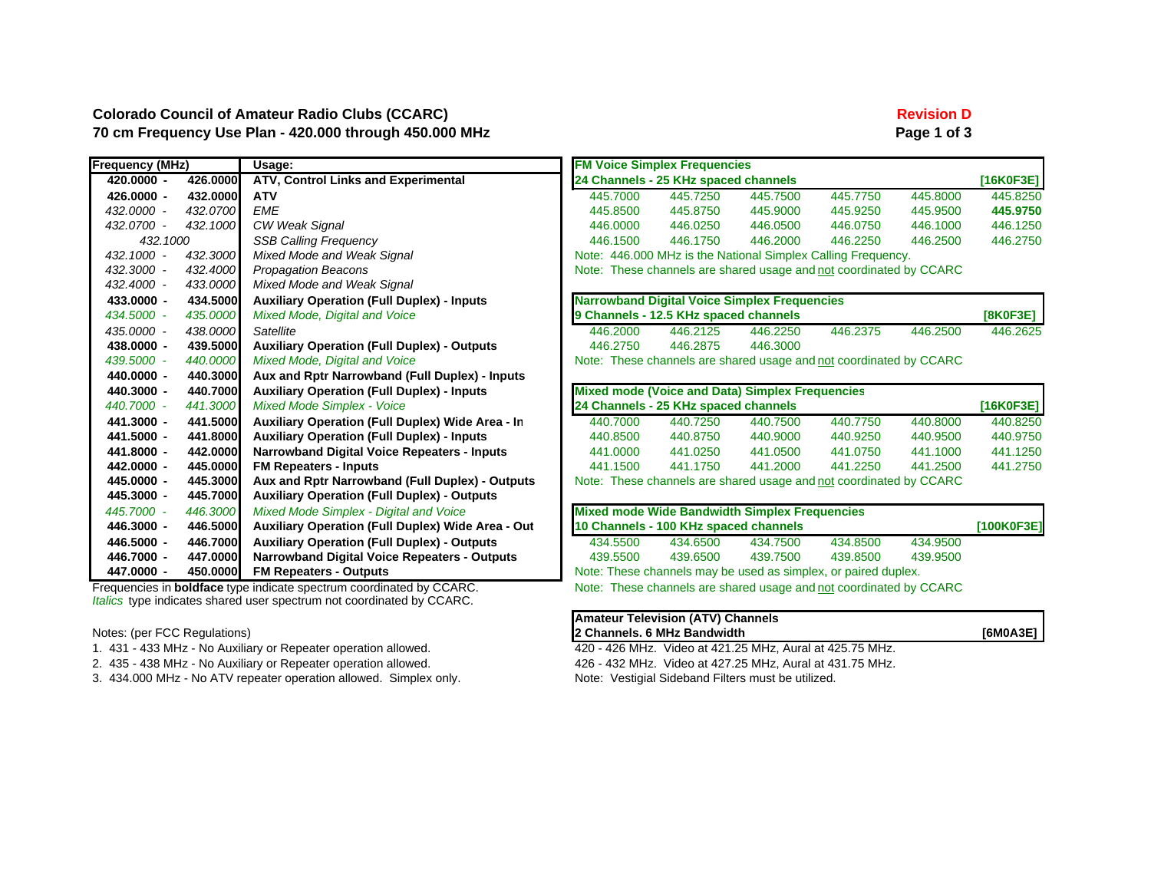### **Colorado Council of Amateur Radio Clubs (CCARC) Revision D Revision D** 70 cm Frequency Use Plan - 420.000 through 450.000 MHz **Page 1 of 3** Page 1 of 3

| <b>Frequency (MHz)</b> |          | Usage:                                                  | <b>FM Voice Simplex Frequencies</b>                                |                                                                    |          |          |          |            |  |  |  |  |
|------------------------|----------|---------------------------------------------------------|--------------------------------------------------------------------|--------------------------------------------------------------------|----------|----------|----------|------------|--|--|--|--|
| 420.0000 -             | 426.0000 | ATV, Control Links and Experimental                     |                                                                    | 24 Channels - 25 KHz spaced channels                               |          |          |          | [16K0F3E]  |  |  |  |  |
| 426.0000 -             | 432.0000 | <b>ATV</b>                                              | 445,7000                                                           | 445.7250                                                           | 445.7500 | 445,7750 | 445,8000 | 445.8250   |  |  |  |  |
| 432.0000 -             | 432.0700 | <b>EME</b>                                              | 445.8500                                                           | 445,8750                                                           | 445,9000 | 445.9250 | 445,9500 | 445.9750   |  |  |  |  |
| 432.0700 -             | 432,1000 | CW Weak Signal                                          | 446,0000                                                           | 446.0250                                                           | 446,0500 | 446,0750 | 446,1000 | 446.1250   |  |  |  |  |
| 432.1000               |          | <b>SSB Calling Frequency</b>                            | 446.1500                                                           | 446.1750                                                           | 446,2000 | 446,2250 | 446.2500 | 446.2750   |  |  |  |  |
| 432.1000 -             | 432,3000 | Mixed Mode and Weak Signal                              |                                                                    | Note: 446,000 MHz is the National Simplex Calling Frequency.       |          |          |          |            |  |  |  |  |
| 432.3000 -             | 432,4000 | <b>Propagation Beacons</b>                              |                                                                    | Note: These channels are shared usage and not coordinated by CCARC |          |          |          |            |  |  |  |  |
| 432.4000 -             | 433.0000 | Mixed Mode and Weak Signal                              |                                                                    |                                                                    |          |          |          |            |  |  |  |  |
| 433.0000 -             | 434.5000 | <b>Auxiliary Operation (Full Duplex) - Inputs</b>       |                                                                    | <b>Narrowband Digital Voice Simplex Frequencies</b>                |          |          |          |            |  |  |  |  |
| 434.5000 -             | 435.0000 | Mixed Mode, Digital and Voice                           |                                                                    | 9 Channels - 12.5 KHz spaced channels                              |          |          |          | [8K0F3E]   |  |  |  |  |
| 435.0000 -             | 438.0000 | Satellite                                               | 446,2000                                                           | 446.2125                                                           | 446.2250 | 446.2375 | 446.2500 | 446.2625   |  |  |  |  |
| 438.0000 -             | 439.5000 | <b>Auxiliary Operation (Full Duplex) - Outputs</b>      | 446,2750                                                           | 446,2875                                                           | 446.3000 |          |          |            |  |  |  |  |
| 439,5000 -             | 440,0000 | Mixed Mode, Digital and Voice                           | Note: These channels are shared usage and not coordinated by CCARC |                                                                    |          |          |          |            |  |  |  |  |
| 440.0000 -             | 440.3000 | Aux and Rptr Narrowband (Full Duplex) - Inputs          |                                                                    |                                                                    |          |          |          |            |  |  |  |  |
| 440.3000 -             | 440.7000 | <b>Auxiliary Operation (Full Duplex) - Inputs</b>       |                                                                    | <b>Mixed mode (Voice and Data) Simplex Frequencies</b>             |          |          |          |            |  |  |  |  |
| 440.7000 -             | 441.3000 | <b>Mixed Mode Simplex - Voice</b>                       |                                                                    | 24 Channels - 25 KHz spaced channels                               |          |          |          | [16K0F3E]  |  |  |  |  |
| 441.3000 -             | 441.5000 | <b>Auxiliary Operation (Full Duplex) Wide Area - In</b> | 440.7000                                                           | 440.7250                                                           | 440.7500 | 440.7750 | 440.8000 | 440.8250   |  |  |  |  |
| 441.5000 -             | 441.8000 | <b>Auxiliary Operation (Full Duplex) - Inputs</b>       | 440,8500                                                           | 440.8750                                                           | 440.9000 | 440.9250 | 440.9500 | 440.9750   |  |  |  |  |
| 441.8000 -             | 442.0000 | <b>Narrowband Digital Voice Repeaters - Inputs</b>      | 441.0000                                                           | 441.0250                                                           | 441.0500 | 441.0750 | 441.1000 | 441.1250   |  |  |  |  |
| 442.0000 -             | 445.0000 | <b>FM Repeaters - Inputs</b>                            | 441.1500                                                           | 441.1750                                                           | 441.2000 | 441.2250 | 441.2500 | 441.2750   |  |  |  |  |
| 445.0000 -             | 445.3000 | Aux and Rptr Narrowband (Full Duplex) - Outputs         |                                                                    | Note: These channels are shared usage and not coordinated by CCARC |          |          |          |            |  |  |  |  |
| 445.3000 -             | 445.7000 | <b>Auxiliary Operation (Full Duplex) - Outputs</b>      |                                                                    |                                                                    |          |          |          |            |  |  |  |  |
| 445.7000 -             | 446,3000 | Mixed Mode Simplex - Digital and Voice                  |                                                                    | <b>Mixed mode Wide Bandwidth Simplex Frequencies</b>               |          |          |          |            |  |  |  |  |
| 446.3000 -             | 446.5000 | Auxiliary Operation (Full Duplex) Wide Area - Out       |                                                                    | 10 Channels - 100 KHz spaced channels                              |          |          |          | [100K0F3E] |  |  |  |  |
| 446.5000 -             | 446.7000 | <b>Auxiliary Operation (Full Duplex) - Outputs</b>      | 434,5500                                                           | 434.6500                                                           | 434,7500 | 434,8500 | 434.9500 |            |  |  |  |  |
| 446.7000 -             | 447.0000 | <b>Narrowband Digital Voice Repeaters - Outputs</b>     | 439,5500                                                           | 439,6500                                                           | 439,7500 | 439,8500 | 439.9500 |            |  |  |  |  |
| 447.0000 -             | 450.0000 | <b>FM Repeaters - Outputs</b>                           | Note: These channels may be used as simplex, or paired duplex.     |                                                                    |          |          |          |            |  |  |  |  |

Frequencies in **boldface** type indicate spectrum coordinated by CCARC. Note: These channels are shared usage and not coordinated by CCARC *Italics* type indicates shared user spectrum not coordinated by CCARC.

 $Note: (per FCC Regularations)$ 

- 1. 431 433 MHz No Auxiliary or Repeater operation allowed. 420 426 MHz. Video at 421.25 MHz, Aural at 425.75 MHz.
- 
- 3. 434.000 MHz No ATV repeater operation allowed. Simplex only. Note: Vestigial Sideband Filters must be utilized.

|  | Amateur Television (ATV) Channels |          |
|--|-----------------------------------|----------|
|  | 2 Channels. 6 MHz Bandwidth       | [6M0A3E] |
|  |                                   |          |

2. 435 - 438 MHz - No Auxiliary or Repeater operation allowed. 426 - 432 MHz. Video at 427.25 MHz, Aural at 431.75 MHz.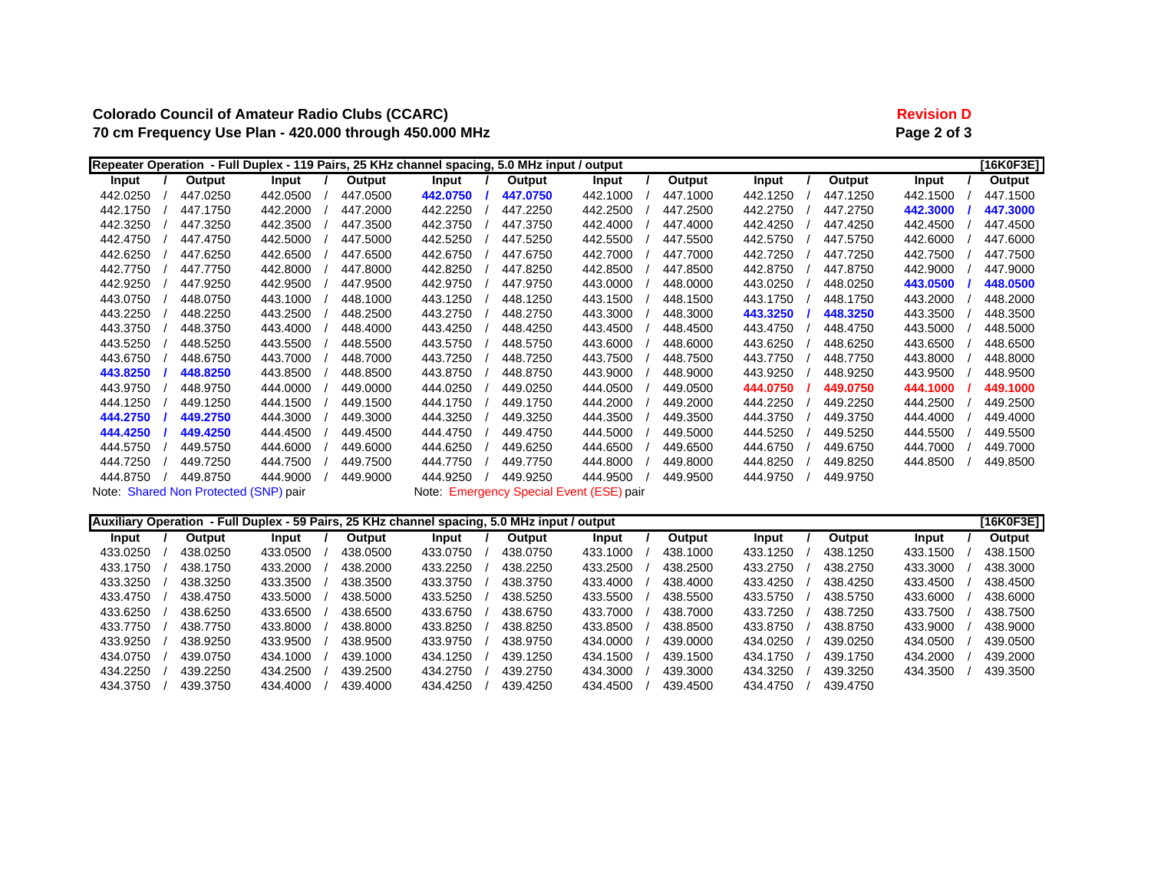# **Colorado Council of Amateur Radio Clubs (CCARC) Revision D 70 cm Frequency Use Plan - 420.000 through 450.000 MHz Page 2 of 3**

|          |                                       |          |          | Repeater Operation - Full Duplex - 119 Pairs, 25 KHz channel spacing, 5.0 MHz input / output |          |                                          |          |          |          |          | [16K0F3E] |
|----------|---------------------------------------|----------|----------|----------------------------------------------------------------------------------------------|----------|------------------------------------------|----------|----------|----------|----------|-----------|
| Input    | Output                                | Input    | Output   | Input                                                                                        | Output   | Input                                    | Output   | Input    | Output   | Input    | Output    |
| 442.0250 | 447.0250                              | 442.0500 | 447.0500 | 442.0750                                                                                     | 447.0750 | 442.1000                                 | 447.1000 | 442.1250 | 447.1250 | 442.1500 | 447.1500  |
| 442.1750 | 447.1750                              | 442.2000 | 447.2000 | 442.2250                                                                                     | 447.2250 | 442.2500                                 | 447.2500 | 442.2750 | 447.2750 | 442.3000 | 447.3000  |
| 442.3250 | 447.3250                              | 442.3500 | 447.3500 | 442.3750                                                                                     | 447.3750 | 442.4000                                 | 447.4000 | 442.4250 | 447.4250 | 442.4500 | 447.4500  |
| 442.4750 | 447.4750                              | 442.5000 | 447.5000 | 442.5250                                                                                     | 447.5250 | 442.5500                                 | 447.5500 | 442.5750 | 447.5750 | 442.6000 | 447.6000  |
| 442.6250 | 447.6250                              | 442.6500 | 447.6500 | 442.6750                                                                                     | 447.6750 | 442.7000                                 | 447.7000 | 442.7250 | 447.7250 | 442.7500 | 447.7500  |
| 442.7750 | 447.7750                              | 442.8000 | 447.8000 | 442.8250                                                                                     | 447.8250 | 442.8500                                 | 447.8500 | 442.8750 | 447.8750 | 442.9000 | 447.9000  |
| 442.9250 | 447.9250                              | 442.9500 | 447.9500 | 442.9750                                                                                     | 447.9750 | 443.0000                                 | 448,0000 | 443.0250 | 448.0250 | 443.0500 | 448.0500  |
| 443.0750 | 448.0750                              | 443.1000 | 448.1000 | 443.1250                                                                                     | 448.1250 | 443.1500                                 | 448.1500 | 443.1750 | 448.1750 | 443.2000 | 448.2000  |
| 443.2250 | 448.2250                              | 443.2500 | 448.2500 | 443.2750                                                                                     | 448.2750 | 443.3000                                 | 448,3000 | 443.3250 | 448.3250 | 443.3500 | 448.3500  |
| 443.3750 | 448.3750                              | 443.4000 | 448.4000 | 443.4250                                                                                     | 448.4250 | 443.4500                                 | 448.4500 | 443.4750 | 448.4750 | 443.5000 | 448.5000  |
| 443.5250 | 448.5250                              | 443.5500 | 448.5500 | 443.5750                                                                                     | 448.5750 | 443.6000                                 | 448,6000 | 443.6250 | 448.6250 | 443.6500 | 448.6500  |
| 443.6750 | 448.6750                              | 443.7000 | 448.7000 | 443.7250                                                                                     | 448.7250 | 443.7500                                 | 448.7500 | 443.7750 | 448.7750 | 443.8000 | 448.8000  |
| 443.8250 | 448.8250                              | 443.8500 | 448.8500 | 443.8750                                                                                     | 448.8750 | 443.9000                                 | 448.9000 | 443.9250 | 448.9250 | 443.9500 | 448.9500  |
| 443.9750 | 448.9750                              | 444.0000 | 449.0000 | 444.0250                                                                                     | 449.0250 | 444.0500                                 | 449.0500 | 444.0750 | 449.0750 | 444.1000 | 449.1000  |
| 444.1250 | 449.1250                              | 444.1500 | 449.1500 | 444.1750                                                                                     | 449.1750 | 444.2000                                 | 449.2000 | 444.2250 | 449.2250 | 444.2500 | 449.2500  |
| 444.2750 | 449.2750                              | 444.3000 | 449.3000 | 444.3250                                                                                     | 449.3250 | 444.3500                                 | 449.3500 | 444.3750 | 449.3750 | 444.4000 | 449.4000  |
| 444.4250 | 449.4250                              | 444.4500 | 449.4500 | 444.4750                                                                                     | 449.4750 | 444.5000                                 | 449.5000 | 444.5250 | 449.5250 | 444.5500 | 449.5500  |
| 444.5750 | 449.5750                              | 444.6000 | 449.6000 | 444.6250                                                                                     | 449.6250 | 444.6500                                 | 449.6500 | 444.6750 | 449.6750 | 444.7000 | 449.7000  |
| 444.7250 | 449.7250                              | 444.7500 | 449.7500 | 444.7750                                                                                     | 449.7750 | 444.8000                                 | 449.8000 | 444.8250 | 449.8250 | 444.8500 | 449.8500  |
| 444.8750 | 449.8750                              | 444.9000 | 449.9000 | 444.9250                                                                                     | 449.9250 | 444.9500                                 | 449.9500 | 444.9750 | 449.9750 |          |           |
|          | Note: Shared Non Protected (SNP) pair |          |          |                                                                                              |          | Note: Emergency Special Event (ESE) pair |          |          |          |          |           |

| Auxiliary Operation - Full Duplex - 59 Pairs, 25 KHz channel spacing, 5.0 MHz input / output |  |          |          |  |          |          |  |          |          |  |          |          |  | [16K0F3E] |          |  |          |
|----------------------------------------------------------------------------------------------|--|----------|----------|--|----------|----------|--|----------|----------|--|----------|----------|--|-----------|----------|--|----------|
| Input                                                                                        |  | Output   | Input    |  | Output   | Input    |  | Output   | Input    |  | Output   | Input    |  | Output    | Input    |  | Output   |
| 433.0250                                                                                     |  | 438.0250 | 433.0500 |  | 438.0500 | 433.0750 |  | 438.0750 | 433.1000 |  | 438.1000 | 433.1250 |  | 438.1250  | 433.1500 |  | 438.1500 |
| 433.1750                                                                                     |  | 438.1750 | 433.2000 |  | 438.2000 | 433.2250 |  | 438.2250 | 433.2500 |  | 438.2500 | 433.2750 |  | 438.2750  | 433.3000 |  | 438,3000 |
| 433.3250                                                                                     |  | 438.3250 | 433.3500 |  | 438.3500 | 433.3750 |  | 438.3750 | 433.4000 |  | 438,4000 | 433.4250 |  | 438.4250  | 433.4500 |  | 438.4500 |
| 433.4750                                                                                     |  | 438.4750 | 433,5000 |  | 438,5000 | 433.5250 |  | 438.5250 | 433.5500 |  | 438.5500 | 433.5750 |  | 438.5750  | 433.6000 |  | 438,6000 |
| 433.6250                                                                                     |  | 438.6250 | 433.6500 |  | 438.6500 | 433.6750 |  | 438.6750 | 433.7000 |  | 438.7000 | 433.7250 |  | 438.7250  | 433.7500 |  | 438.7500 |
| 433.7750                                                                                     |  | 438,7750 | 433,8000 |  | 438,8000 | 433.8250 |  | 438.8250 | 433.8500 |  | 438.8500 | 433.8750 |  | 438.8750  | 433.9000 |  | 438,9000 |
| 433.9250                                                                                     |  | 438.9250 | 433.9500 |  | 438.9500 | 433.9750 |  | 438.9750 | 434.0000 |  | 439.0000 | 434.0250 |  | 439.0250  | 434.0500 |  | 439.0500 |
| 434.0750                                                                                     |  | 439.0750 | 434.1000 |  | 439.1000 | 434.1250 |  | 439.1250 | 434.1500 |  | 439.1500 | 434.1750 |  | 439.1750  | 434.2000 |  | 439,2000 |
| 434.2250                                                                                     |  | 439.2250 | 434.2500 |  | 439.2500 | 434.2750 |  | 439.2750 | 434.3000 |  | 439.3000 | 434.3250 |  | 439.3250  | 434.3500 |  | 439.3500 |
| 434.3750                                                                                     |  | 439.3750 | 434,4000 |  | 439,4000 | 434.4250 |  | 439.4250 | 434.4500 |  | 439.4500 | 434.4750 |  | 439.4750  |          |  |          |